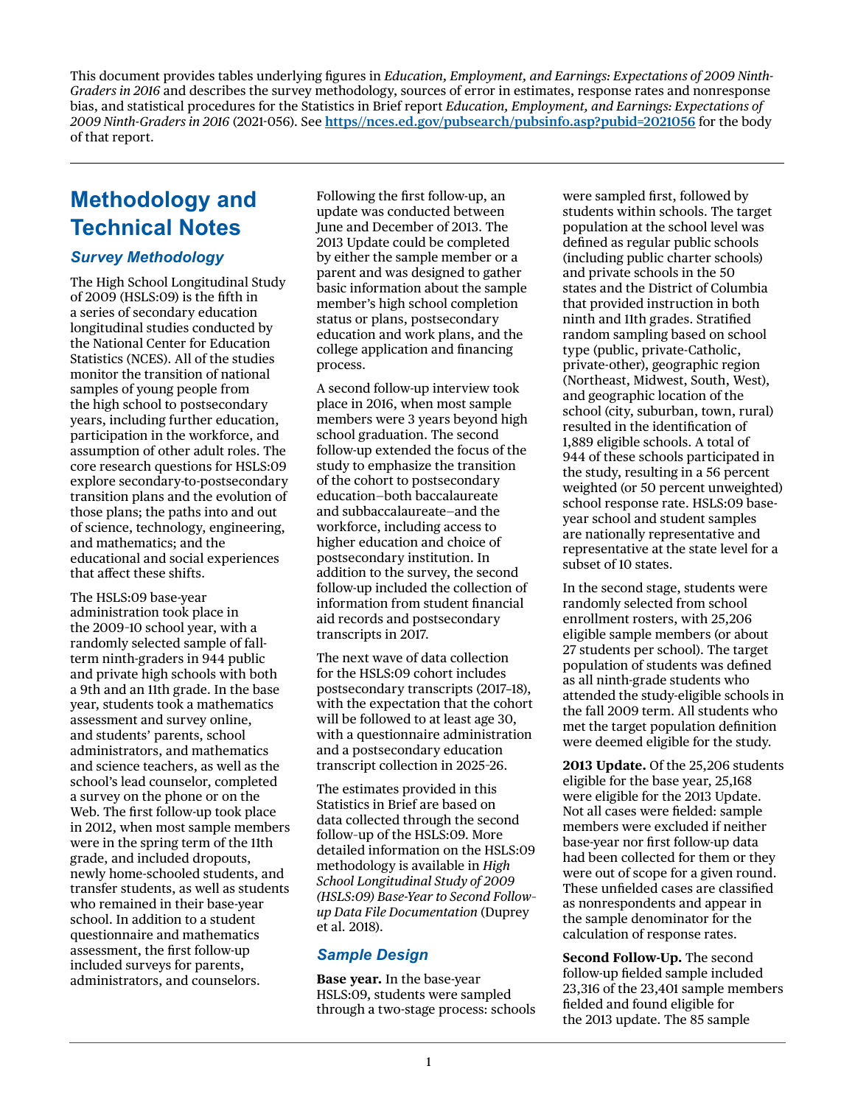This document provides tables underlying figures in *Education, Employment, and Earnings: Expectations of 2009 Ninth-Graders in 2016* and describes the survey methodology, sources of error in estimates, response rates and nonresponse bias, and statistical procedures for the Statistics in Brief report *Education, Employment, and Earnings: Expectations of 2009 Ninth-Graders in 2016* (2021-056). See **[https//nces.ed.gov/pubsearch/pubsinfo.asp?pubid=2021056](http://https//nces.ed.gov/pubsearch/pubsinfo.asp?pubid=2021056)** for the body of that report.

# **Methodology and Technical Notes**

### *Survey Methodology*

The High School Longitudinal Study of 2009 (HSLS:09) is the fifth in a series of secondary education longitudinal studies conducted by the National Center for Education Statistics (NCES). All of the studies monitor the transition of national samples of young people from the high school to postsecondary years, including further education, participation in the workforce, and assumption of other adult roles. The core research questions for HSLS:09 explore secondary-to-postsecondary transition plans and the evolution of those plans; the paths into and out of science, technology, engineering, and mathematics; and the educational and social experiences that affect these shifts.

The HSLS:09 base-year administration took place in the 2009–10 school year, with a randomly selected sample of fallterm ninth-graders in 944 public and private high schools with both a 9th and an 11th grade. In the base year, students took a mathematics assessment and survey online, and students' parents, school administrators, and mathematics and science teachers, as well as the school's lead counselor, completed a survey on the phone or on the Web. The first follow-up took place in 2012, when most sample members were in the spring term of the 11th grade, and included dropouts, newly home-schooled students, and transfer students, as well as students who remained in their base-year school. In addition to a student questionnaire and mathematics assessment, the first follow-up included surveys for parents, administrators, and counselors.

Following the first follow-up, an update was conducted between June and December of 2013. The 2013 Update could be completed by either the sample member or a parent and was designed to gather basic information about the sample member's high school completion status or plans, postsecondary education and work plans, and the college application and financing process.

A second follow-up interview took place in 2016, when most sample members were 3 years beyond high school graduation. The second follow-up extended the focus of the study to emphasize the transition of the cohort to postsecondary education—both baccalaureate and subbaccalaureate—and the workforce, including access to higher education and choice of postsecondary institution. In addition to the survey, the second follow-up included the collection of information from student financial aid records and postsecondary transcripts in 2017.

The next wave of data collection for the HSLS:09 cohort includes postsecondary transcripts (2017–18), with the expectation that the cohort will be followed to at least age 30, with a questionnaire administration and a postsecondary education transcript collection in 2025–26.

The estimates provided in this Statistics in Brief are based on data collected through the second follow–up of the HSLS:09. More detailed information on the HSLS:09 methodology is available in *High School Longitudinal Study of 2009 (HSLS:09) Base-Year to Second Follow– up Data File Documentation* (Duprey et al. 2018).

### *Sample Design*

**Base year.** In the base-year HSLS:09, students were sampled through a two-stage process: schools were sampled first, followed by students within schools. The target population at the school level was defined as regular public schools (including public charter schools) and private schools in the 50 states and the District of Columbia that provided instruction in both ninth and 11th grades. Stratified random sampling based on school type (public, private-Catholic, private-other), geographic region (Northeast, Midwest, South, West), and geographic location of the school (city, suburban, town, rural) resulted in the identification of 1,889 eligible schools. A total of 944 of these schools participated in the study, resulting in a 56 percent weighted (or 50 percent unweighted) school response rate. HSLS:09 baseyear school and student samples are nationally representative and representative at the state level for a subset of 10 states.

In the second stage, students were randomly selected from school enrollment rosters, with 25,206 eligible sample members (or about 27 students per school). The target population of students was defined as all ninth-grade students who attended the study-eligible schools in the fall 2009 term. All students who met the target population definition were deemed eligible for the study.

**2013 Update.** Of the 25,206 students eligible for the base year, 25,168 were eligible for the 2013 Update. Not all cases were fielded: sample members were excluded if neither base-year nor first follow-up data had been collected for them or they were out of scope for a given round. These unfielded cases are classified as nonrespondents and appear in the sample denominator for the calculation of response rates.

**Second Follow-Up.** The second follow-up fielded sample included 23,316 of the 23,401 sample members fielded and found eligible for the 2013 update. The 85 sample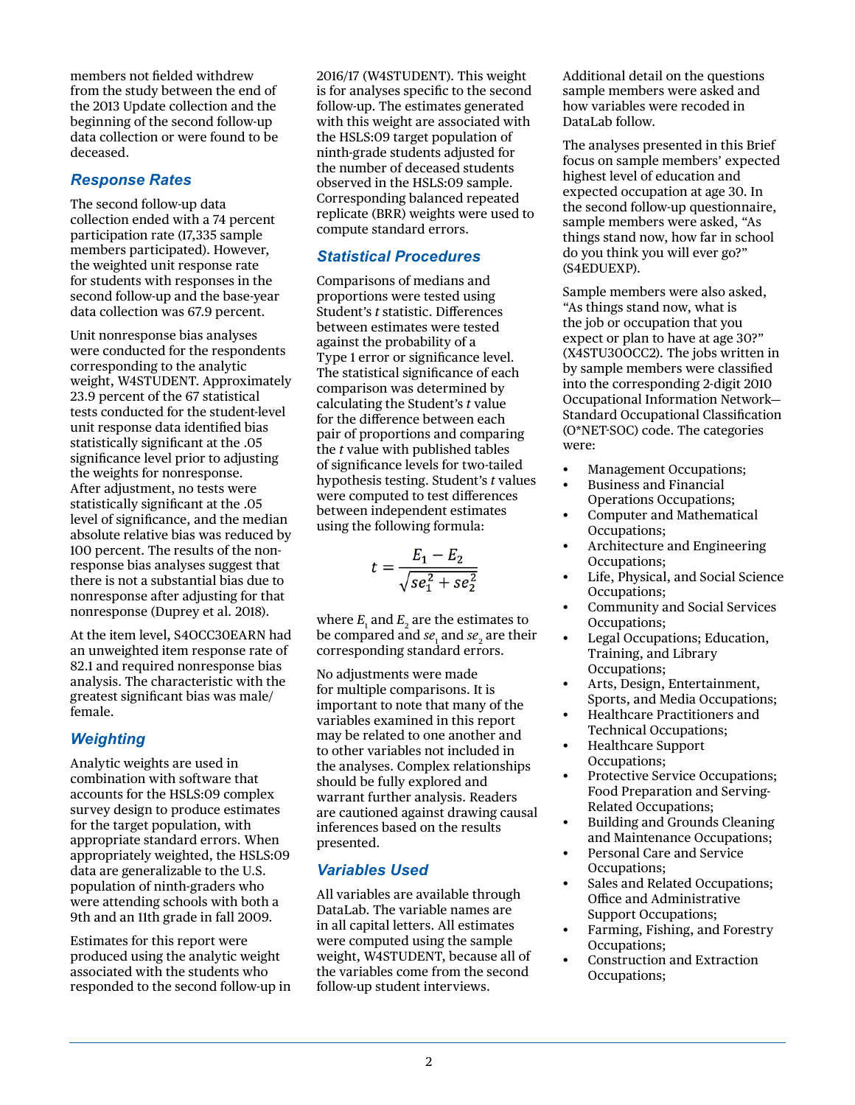members not fielded withdrew from the study between the end of the 2013 Update collection and the beginning of the second follow-up data collection or were found to be deceased.

#### *Response Rates*

The second follow-up data collection ended with a 74 percent participation rate (17,335 sample members participated). However, the weighted unit response rate for students with responses in the second follow-up and the base-year data collection was 67.9 percent.

Unit nonresponse bias analyses were conducted for the respondents corresponding to the analytic weight, W4STUDENT. Approximately 23.9 percent of the 67 statistical tests conducted for the student-level unit response data identified bias statistically significant at the .05 significance level prior to adjusting the weights for nonresponse. After adjustment, no tests were statistically significant at the .05 level of significance, and the median absolute relative bias was reduced by 100 percent. The results of the nonresponse bias analyses suggest that there is not a substantial bias due to nonresponse after adjusting for that nonresponse (Duprey et al. 2018).

At the item level, S4OCC30EARN had an unweighted item response rate of 82.1 and required nonresponse bias analysis. The characteristic with the greatest significant bias was male/ female.

### *Weighting*

Analytic weights are used in combination with software that accounts for the HSLS:09 complex survey design to produce estimates for the target population, with appropriate standard errors. When appropriately weighted, the HSLS:09 data are generalizable to the U.S. population of ninth-graders who were attending schools with both a 9th and an 11th grade in fall 2009.

Estimates for this report were produced using the analytic weight associated with the students who responded to the second follow-up in 2016/17 (W4STUDENT). This weight is for analyses specific to the second follow-up. The estimates generated with this weight are associated with the HSLS:09 target population of ninth-grade students adjusted for the number of deceased students observed in the HSLS:09 sample. Corresponding balanced repeated replicate (BRR) weights were used to compute standard errors.

### *Statistical Procedures*

Comparisons of medians and proportions were tested using Student's *t* statistic. Differences between estimates were tested against the probability of a Type 1 error or significance level. The statistical significance of each comparison was determined by calculating the Student's *t* value for the difference between each pair of proportions and comparing the *t* value with published tables of significance levels for two-tailed hypothesis testing. Student's *t* values were computed to test differences between independent estimates using the following formula:

$$
t = \frac{E_1 - E_2}{\sqrt{se_1^2 + se_2^2}}
$$

where  $E_{\rm 1}$  and  $E_{\rm 2}$  are the estimates to be compared and  $se_{1}$  and  $se_{2}$  are their corresponding standard errors.

No adjustments were made for multiple comparisons. It is important to note that many of the variables examined in this report may be related to one another and to other variables not included in the analyses. Complex relationships should be fully explored and warrant further analysis. Readers are cautioned against drawing causal inferences based on the results presented.

### *Variables Used*

All variables are available through DataLab. The variable names are in all capital letters. All estimates were computed using the sample weight, W4STUDENT, because all of the variables come from the second follow-up student interviews.

Additional detail on the questions sample members were asked and how variables were recoded in DataLab follow.

The analyses presented in this Brief focus on sample members' expected highest level of education and expected occupation at age 30. In the second follow-up questionnaire, sample members were asked, "As things stand now, how far in school do you think you will ever go?" (S4EDUEXP).

Sample members were also asked, "As things stand now, what is the job or occupation that you expect or plan to have at age 30?" (X4STU30OCC2). The jobs written in by sample members were classified into the corresponding 2-digit 2010 Occupational Information Network— Standard Occupational Classification (O\*NET-SOC) code. The categories were:

- Management Occupations;
- Business and Financial Operations Occupations;
- Computer and Mathematical Occupations;
- Architecture and Engineering Occupations;
- Life, Physical, and Social Science Occupations;
- Community and Social Services Occupations;
- Legal Occupations; Education, Training, and Library Occupations;
- Arts, Design, Entertainment, Sports, and Media Occupations;
- Healthcare Practitioners and Technical Occupations;
- Healthcare Support Occupations;
- Protective Service Occupations; Food Preparation and Serving-Related Occupations;
- Building and Grounds Cleaning and Maintenance Occupations;
- Personal Care and Service Occupations;
- Sales and Related Occupations; Office and Administrative Support Occupations;
- Farming, Fishing, and Forestry Occupations;
- Construction and Extraction Occupations;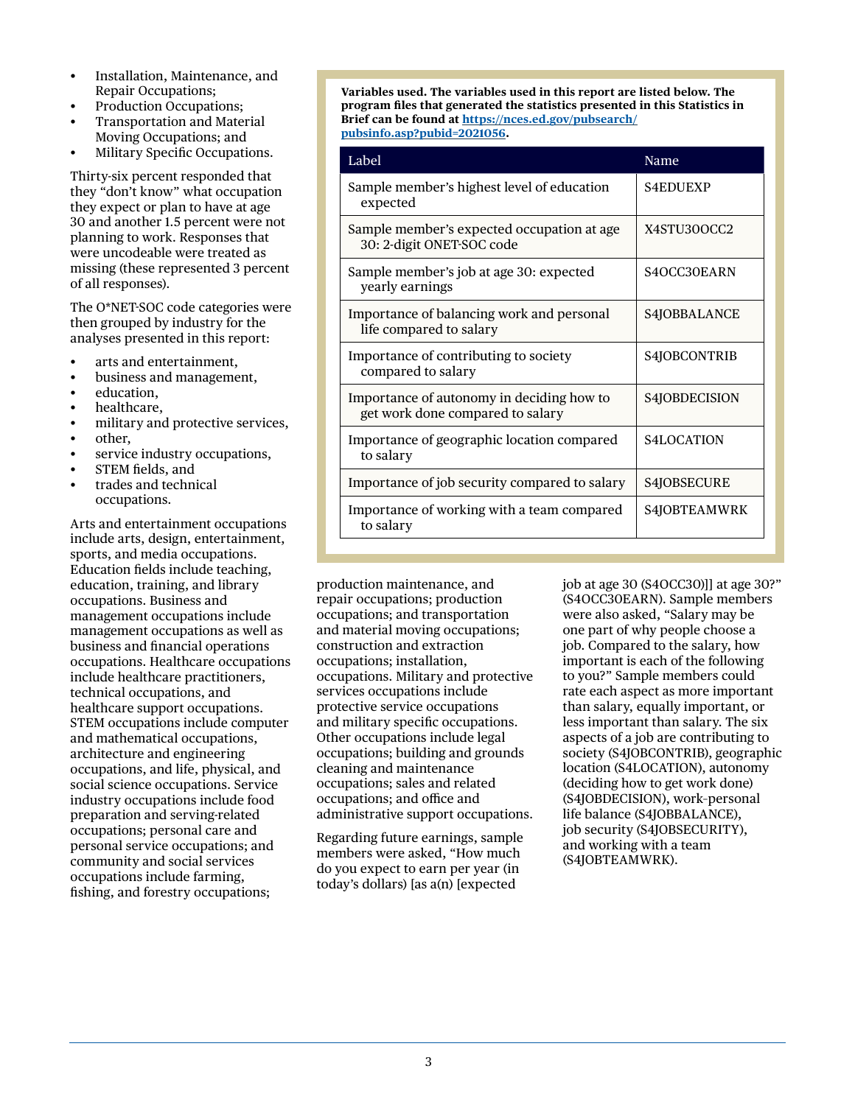- Installation, Maintenance, and Repair Occupations;
- Production Occupations;
- Transportation and Material Moving Occupations; and
- Military Specific Occupations.

Thirty-six percent responded that they "don't know" what occupation they expect or plan to have at age 30 and another 1.5 percent were not planning to work. Responses that were uncodeable were treated as missing (these represented 3 percent of all responses).

The O\*NET-SOC code categories were then grouped by industry for the analyses presented in this report:

- arts and entertainment,
- business and management,
- education.
- healthcare,
- military and protective services,
- other,
- service industry occupations,
- STEM fields, and
- trades and technical occupations.

Arts and entertainment occupations include arts, design, entertainment, sports, and media occupations. Education fields include teaching, education, training, and library occupations. Business and management occupations include management occupations as well as business and financial operations occupations. Healthcare occupations include healthcare practitioners, technical occupations, and healthcare support occupations. STEM occupations include computer and mathematical occupations, architecture and engineering occupations, and life, physical, and social science occupations. Service industry occupations include food preparation and serving-related occupations; personal care and personal service occupations; and community and social services occupations include farming, fishing, and forestry occupations;

**Variables used. The variables used in this report are listed below. The program files that generated the statistics presented in this Statistics in Brief can be found at [https://nces.ed.gov/pubsearch/](https://nces.ed.gov/pub-search/pubsinfo.asp?pubid=2021056) [pubsinfo.asp?pubid=2021056](https://nces.ed.gov/pub-search/pubsinfo.asp?pubid=2021056).**

| Label                                                                         | Name            |
|-------------------------------------------------------------------------------|-----------------|
| Sample member's highest level of education<br>expected                        | <b>S4EDUEXP</b> |
| Sample member's expected occupation at age<br>30: 2-digit ONET-SOC code       | X4STU30OCC2     |
| Sample member's job at age 30: expected<br>yearly earnings                    | S4OCC30EARN     |
| Importance of balancing work and personal<br>life compared to salary          | S4JOBBALANCE    |
| Importance of contributing to society<br>compared to salary                   | S4JOBCONTRIB    |
| Importance of autonomy in deciding how to<br>get work done compared to salary | S4JOBDECISION   |
| Importance of geographic location compared<br>to salary                       | S4LOCATION      |
| Importance of job security compared to salary                                 | S4JOBSECURE     |
| Importance of working with a team compared<br>to salary                       | S4JOBTEAMWRK    |

production maintenance, and repair occupations; production occupations; and transportation and material moving occupations; construction and extraction occupations; installation, occupations. Military and protective services occupations include protective service occupations and military specific occupations. Other occupations include legal occupations; building and grounds cleaning and maintenance occupations; sales and related occupations; and office and administrative support occupations.

Regarding future earnings, sample members were asked, "How much do you expect to earn per year (in today's dollars) [as a(n) [expected

job at age 30 (S4OCC30)]] at age 30?" (S4OCC30EARN). Sample members were also asked, "Salary may be one part of why people choose a job. Compared to the salary, how important is each of the following to you?" Sample members could rate each aspect as more important than salary, equally important, or less important than salary. The six aspects of a job are contributing to society (S4JOBCONTRIB), geographic location (S4LOCATION), autonomy (deciding how to get work done) (S4JOBDECISION), work–personal life balance (S4JOBBALANCE), job security (S4JOBSECURITY), and working with a team (S4JOBTEAMWRK).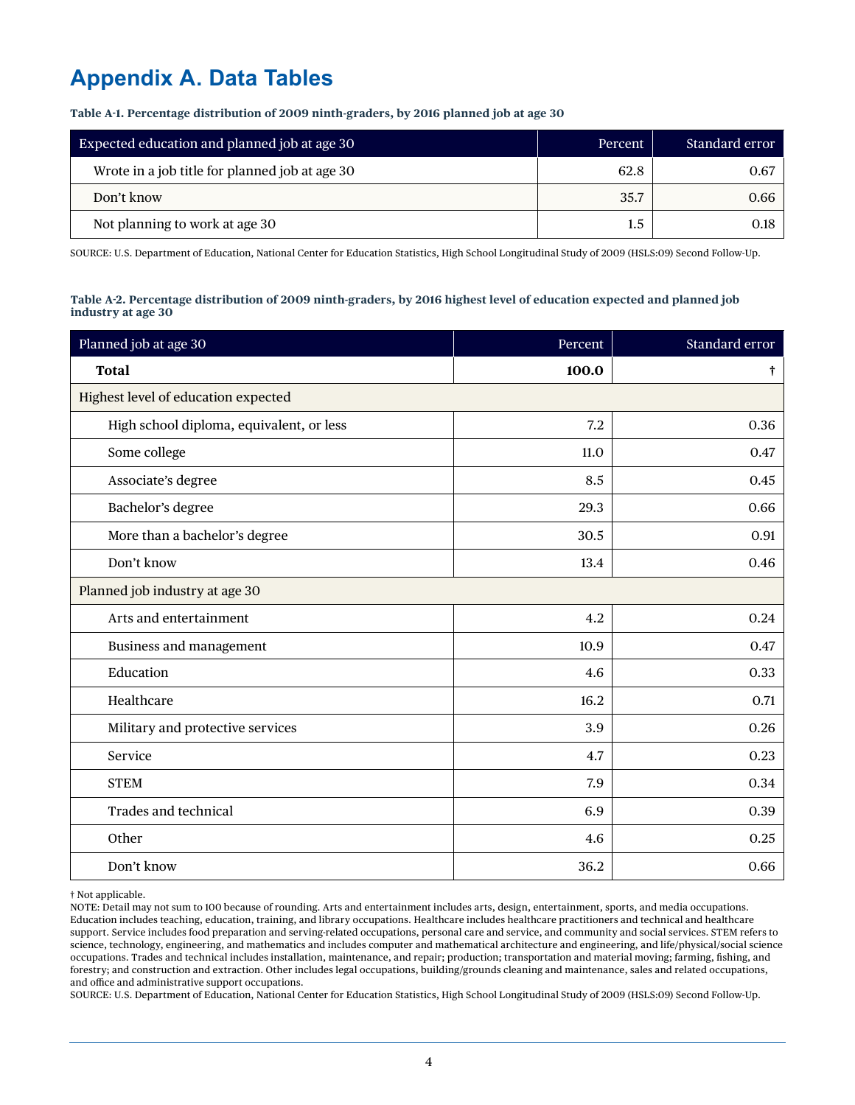# **Appendix A. Data Tables**

**Table A-1. Percentage distribution of 2009 ninth-graders, by 2016 planned job at age 30**

| Expected education and planned job at age 30   | <b>Percent</b> | Standard error |
|------------------------------------------------|----------------|----------------|
| Wrote in a job title for planned job at age 30 | 62.8           | 0.67           |
| Don't know                                     | 35.7           | 0.66           |
| Not planning to work at age 30                 | $1.5\,$        | 0.18           |

SOURCE: U.S. Department of Education, National Center for Education Statistics, High School Longitudinal Study of 2009 (HSLS:09) Second Follow-Up.

#### **Table A-2. Percentage distribution of 2009 ninth-graders, by 2016 highest level of education expected and planned job industry at age 30**

| Planned job at age 30                    | Percent | Standard error |  |  |  |  |
|------------------------------------------|---------|----------------|--|--|--|--|
| <b>Total</b>                             | 100.0   | t              |  |  |  |  |
| Highest level of education expected      |         |                |  |  |  |  |
| High school diploma, equivalent, or less | 7.2     | 0.36           |  |  |  |  |
| Some college                             | 11.0    | 0.47           |  |  |  |  |
| Associate's degree                       | 8.5     | 0.45           |  |  |  |  |
| Bachelor's degree                        | 29.3    | 0.66           |  |  |  |  |
| More than a bachelor's degree            | 30.5    | 0.91           |  |  |  |  |
| Don't know                               | 13.4    | 0.46           |  |  |  |  |
| Planned job industry at age 30           |         |                |  |  |  |  |
| Arts and entertainment                   | 4.2     | 0.24           |  |  |  |  |
| Business and management                  | 10.9    | 0.47           |  |  |  |  |
| Education                                | 4.6     | 0.33           |  |  |  |  |
| Healthcare                               | 16.2    | 0.71           |  |  |  |  |
| Military and protective services         | 3.9     | 0.26           |  |  |  |  |
| Service                                  | 4.7     | 0.23           |  |  |  |  |
| <b>STEM</b>                              | 7.9     | 0.34           |  |  |  |  |
| <b>Trades and technical</b>              | 6.9     | 0.39           |  |  |  |  |
| Other                                    | 4.6     | 0.25           |  |  |  |  |
| Don't know                               | 36.2    | 0.66           |  |  |  |  |

† Not applicable.

NOTE: Detail may not sum to 100 because of rounding. Arts and entertainment includes arts, design, entertainment, sports, and media occupations. Education includes teaching, education, training, and library occupations. Healthcare includes healthcare practitioners and technical and healthcare support. Service includes food preparation and serving-related occupations, personal care and service, and community and social services. STEM refers to science, technology, engineering, and mathematics and includes computer and mathematical architecture and engineering, and life/physical/social science occupations. Trades and technical includes installation, maintenance, and repair; production; transportation and material moving; farming, fishing, and forestry; and construction and extraction. Other includes legal occupations, building/grounds cleaning and maintenance, sales and related occupations, and office and administrative support occupations.

SOURCE: U.S. Department of Education, National Center for Education Statistics, High School Longitudinal Study of 2009 (HSLS:09) Second Follow-Up.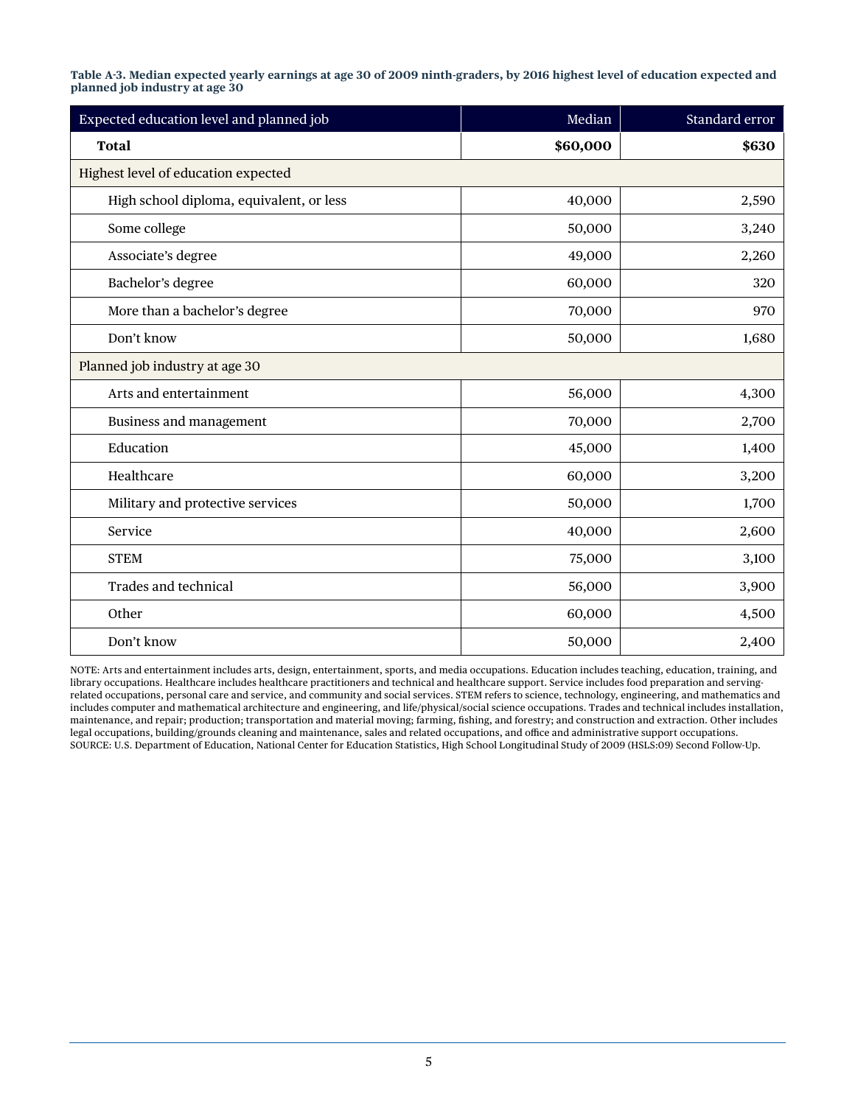**Table A-3. Median expected yearly earnings at age 30 of 2009 ninth-graders, by 2016 highest level of education expected and planned job industry at age 30**

| Expected education level and planned job | Median   | Standard error |  |  |  |  |
|------------------------------------------|----------|----------------|--|--|--|--|
| <b>Total</b>                             | \$60,000 | \$630          |  |  |  |  |
| Highest level of education expected      |          |                |  |  |  |  |
| High school diploma, equivalent, or less | 40,000   | 2,590          |  |  |  |  |
| Some college                             | 50,000   | 3,240          |  |  |  |  |
| Associate's degree                       | 49,000   | 2,260          |  |  |  |  |
| Bachelor's degree                        | 60,000   | 320            |  |  |  |  |
| More than a bachelor's degree            | 70,000   | 970            |  |  |  |  |
| Don't know                               | 50,000   | 1,680          |  |  |  |  |
| Planned job industry at age 30           |          |                |  |  |  |  |
| Arts and entertainment                   | 56,000   | 4,300          |  |  |  |  |
| Business and management                  | 70,000   | 2,700          |  |  |  |  |
| Education                                | 45,000   | 1,400          |  |  |  |  |
| Healthcare                               | 60,000   | 3,200          |  |  |  |  |
| Military and protective services         | 50,000   | 1,700          |  |  |  |  |
| Service                                  | 40,000   | 2,600          |  |  |  |  |
| <b>STEM</b>                              | 75,000   | 3,100          |  |  |  |  |
| <b>Trades and technical</b>              | 56,000   | 3,900          |  |  |  |  |
| Other                                    | 60,000   | 4,500          |  |  |  |  |
| Don't know                               | 50,000   | 2,400          |  |  |  |  |

NOTE: Arts and entertainment includes arts, design, entertainment, sports, and media occupations. Education includes teaching, education, training, and library occupations. Healthcare includes healthcare practitioners and technical and healthcare support. Service includes food preparation and servingrelated occupations, personal care and service, and community and social services. STEM refers to science, technology, engineering, and mathematics and includes computer and mathematical architecture and engineering, and life/physical/social science occupations. Trades and technical includes installation, maintenance, and repair; production; transportation and material moving; farming, fishing, and forestry; and construction and extraction. Other includes legal occupations, building/grounds cleaning and maintenance, sales and related occupations, and office and administrative support occupations. SOURCE: U.S. Department of Education, National Center for Education Statistics, High School Longitudinal Study of 2009 (HSLS:09) Second Follow-Up.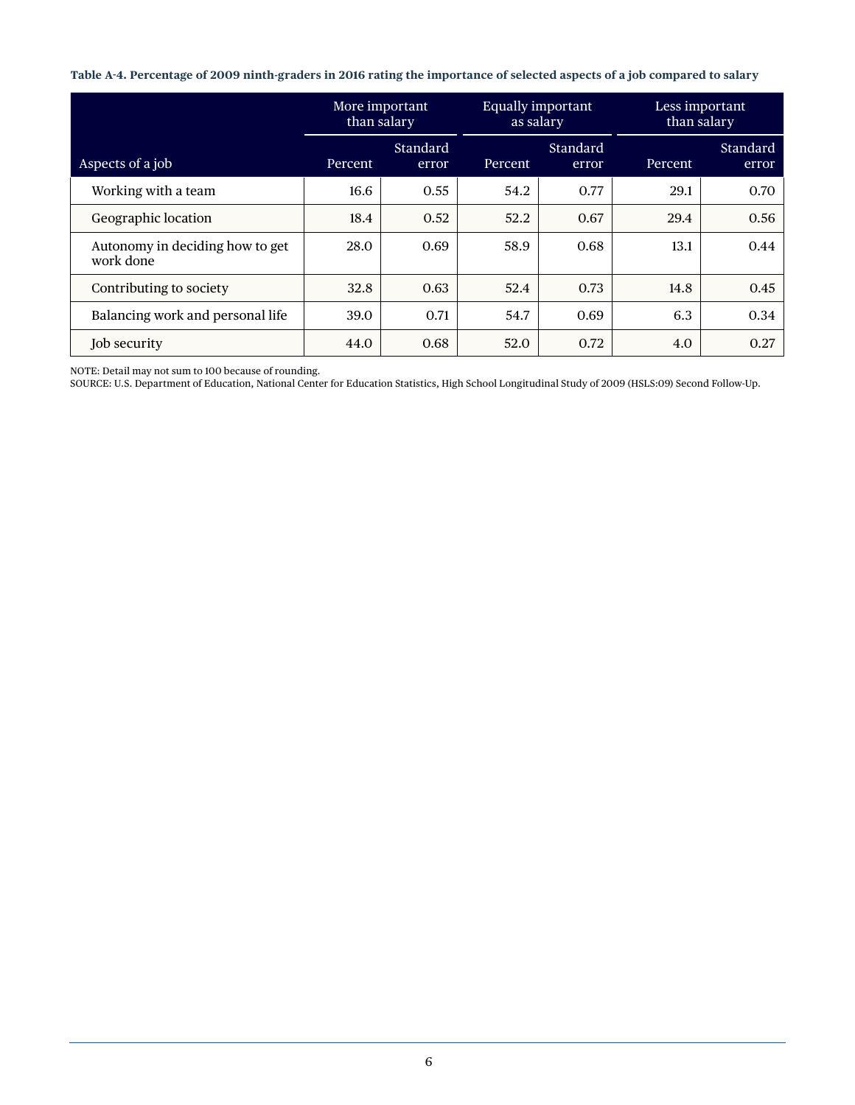**Table A-4. Percentage of 2009 ninth-graders in 2016 rating the importance of selected aspects of a job compared to salary**

|                                              | More important<br>than salary |                   | <b>Equally important</b><br>as salary |                   | Less important<br>than salary |                   |
|----------------------------------------------|-------------------------------|-------------------|---------------------------------------|-------------------|-------------------------------|-------------------|
| Aspects of a job                             | Percent                       | Standard<br>error | Percent                               | Standard<br>error | Percent                       | Standard<br>error |
| Working with a team                          | 16.6                          | 0.55              | 54.2                                  | 0.77              | 29.1                          | 0.70              |
| Geographic location                          | 18.4                          | 0.52              | 52.2                                  | 0.67              | 29.4                          | 0.56              |
| Autonomy in deciding how to get<br>work done | 28.0                          | 0.69              | 58.9                                  | 0.68              | 13.1                          | 0.44              |
| Contributing to society                      | 32.8                          | 0.63              | 52.4                                  | 0.73              | 14.8                          | 0.45              |
| Balancing work and personal life             | 39.0                          | 0.71              | 54.7                                  | 0.69              | 6.3                           | 0.34              |
| Job security                                 | 44.0                          | 0.68              | 52.0                                  | 0.72              | 4.0                           | 0.27              |

NOTE: Detail may not sum to 100 because of rounding.

SOURCE: U.S. Department of Education, National Center for Education Statistics, High School Longitudinal Study of 2009 (HSLS:09) Second Follow-Up.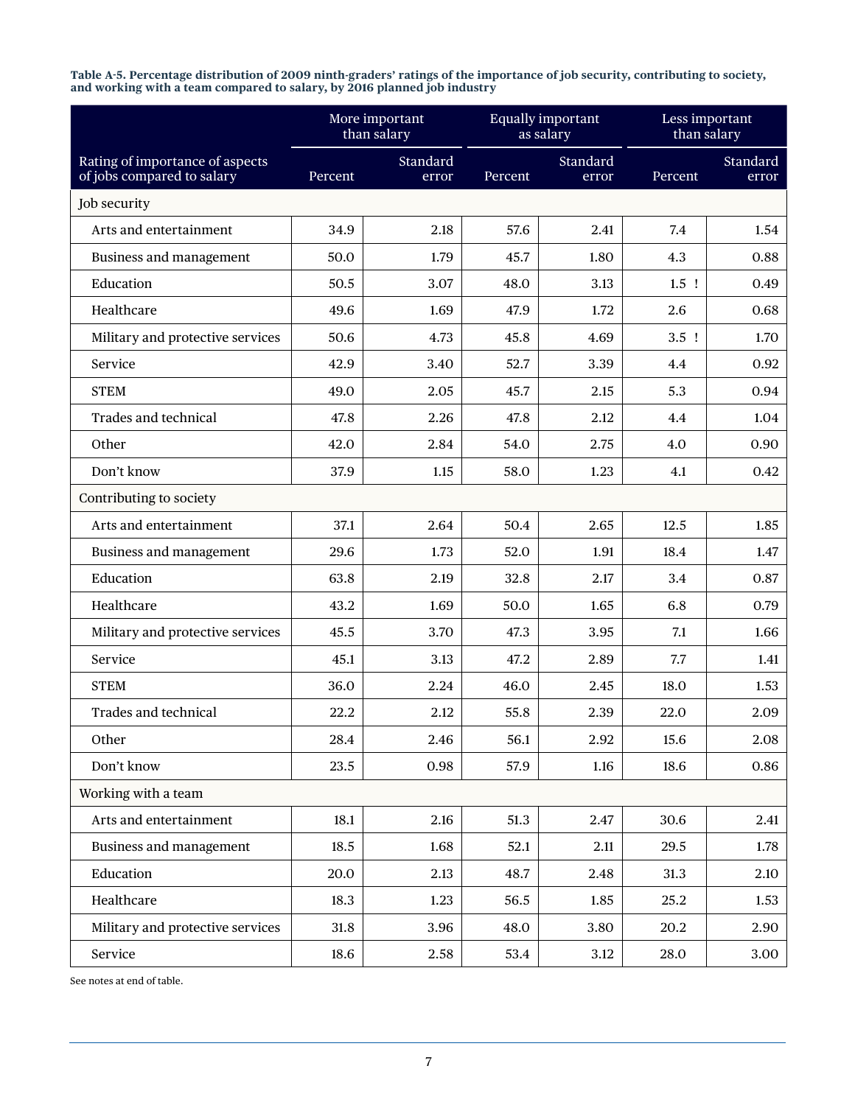| Table A-5. Percentage distribution of 2009 ninth-graders' ratings of the importance of job security, contributing to society, |
|-------------------------------------------------------------------------------------------------------------------------------|
| and working with a team compared to salary, by 2016 planned job industry                                                      |

|                                                               |         | More important<br>than salary | <b>Equally important</b><br>as salary |                   | Less important<br>than salary |                   |
|---------------------------------------------------------------|---------|-------------------------------|---------------------------------------|-------------------|-------------------------------|-------------------|
| Rating of importance of aspects<br>of jobs compared to salary | Percent | Standard<br>error             | Percent                               | Standard<br>error | Percent                       | Standard<br>error |
| Job security                                                  |         |                               |                                       |                   |                               |                   |
| Arts and entertainment                                        | 34.9    | 2.18                          | 57.6                                  | 2.41              | 7.4                           | 1.54              |
| Business and management                                       | 50.0    | 1.79                          | 45.7                                  | 1.80              | 4.3                           | 0.88              |
| Education                                                     | 50.5    | 3.07                          | 48.0                                  | 3.13              | $1.5$ !                       | 0.49              |
| Healthcare                                                    | 49.6    | 1.69                          | 47.9                                  | 1.72              | 2.6                           | 0.68              |
| Military and protective services                              | 50.6    | 4.73                          | 45.8                                  | 4.69              | $3.5$ !                       | 1.70              |
| Service                                                       | 42.9    | 3.40                          | 52.7                                  | 3.39              | 4.4                           | 0.92              |
| <b>STEM</b>                                                   | 49.0    | 2.05                          | 45.7                                  | 2.15              | 5.3                           | 0.94              |
| Trades and technical                                          | 47.8    | 2.26                          | 47.8                                  | 2.12              | 4.4                           | 1.04              |
| Other                                                         | 42.0    | 2.84                          | 54.0                                  | 2.75              | 4.0                           | 0.90              |
| Don't know                                                    | 37.9    | 1.15                          | 58.0                                  | 1.23              | 4.1                           | 0.42              |
| Contributing to society                                       |         |                               |                                       |                   |                               |                   |
| Arts and entertainment                                        | 37.1    | 2.64                          | 50.4                                  | 2.65              | 12.5                          | 1.85              |
| Business and management                                       | 29.6    | 1.73                          | 52.0                                  | 1.91              | 18.4                          | 1.47              |
| Education                                                     | 63.8    | 2.19                          | 32.8                                  | 2.17              | 3.4                           | 0.87              |
| Healthcare                                                    | 43.2    | 1.69                          | 50.0                                  | 1.65              | 6.8                           | 0.79              |
| Military and protective services                              | 45.5    | 3.70                          | 47.3                                  | 3.95              | 7.1                           | 1.66              |
| Service                                                       | 45.1    | 3.13                          | 47.2                                  | 2.89              | 7.7                           | 1.41              |
| <b>STEM</b>                                                   | 36.0    | 2.24                          | 46.0                                  | 2.45              | 18.0                          | 1.53              |
| Trades and technical                                          | 22.2    | 2.12                          | 55.8                                  | 2.39              | 22.0                          | 2.09              |
| Other                                                         | 28.4    | 2.46                          | 56.1                                  | 2.92              | 15.6                          | 2.08              |
| Don't know                                                    | 23.5    | 0.98                          | 57.9                                  | 1.16              | 18.6                          | 0.86              |
| Working with a team                                           |         |                               |                                       |                   |                               |                   |
| Arts and entertainment                                        | 18.1    | 2.16                          | 51.3                                  | 2.47              | 30.6                          | 2.41              |
| Business and management                                       | 18.5    | 1.68                          | 52.1                                  | 2.11              | 29.5                          | 1.78              |
| Education                                                     | 20.0    | 2.13                          | 48.7                                  | 2.48              | 31.3                          | 2.10              |
| Healthcare                                                    | 18.3    | 1.23                          | 56.5                                  | 1.85              | 25.2                          | 1.53              |
| Military and protective services                              | 31.8    | 3.96                          | 48.0                                  | 3.80              | 20.2                          | 2.90              |
| Service                                                       | 18.6    | 2.58                          | 53.4                                  | 3.12              | 28.0                          | 3.00              |

See notes at end of table.